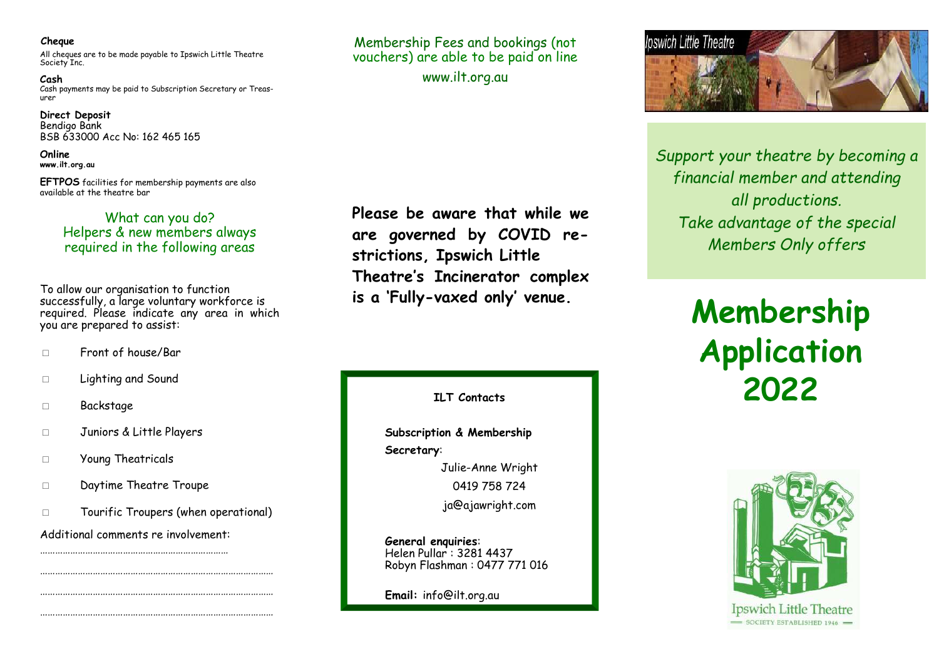#### **Cheque**

All cheques are to be made payable to Ipswich Little Theatre Society Inc.

**Cash**  Cash payments may be paid to Subscription Secretary or Treasurer

**Direct Deposit**  Bendigo Bank BSB 633000 Acc No: 162 465 165

**Online www.ilt.org.au** 

**EFTPOS** facilities for membership payments are also available at the theatre bar

# What can you do? Helpers & new members always required in the following areas

To allow our organisation to function successfully, a large voluntary workforce is required. Please indicate any area in which you are prepared to assist:

- □ Front of house/Bar
- □ Lighting and Sound
- □ Backstage
- □ Juniors & Little Players
- □ Young Theatricals
- □ Daytime Theatre Troupe
- □ Tourific Troupers (when operational)

………………………………………………………………………………… …………………………………………………………………………………

Additional comments re involvement: …………………………………………………………………

…………………………………………………………………………………

Membership Fees and bookings (not vouchers) are able to be paid on line www.ilt.org.au

**Please be aware that while we are governed by COVID restrictions, Ipswich Little Theatre's Incinerator complex is a 'Fully-vaxed only' venue.** 

**ILT Contacts** 

 **Subscription & Membership Secretary**: Julie-Anne Wright 0419 758 724 ja@ajawright.com

**General enquiries**: Helen Pullar : 3281 4437 Robyn Flashman : 0477 771 016

**Email:** info@ilt.org.au



*Support your theatre by becoming a financial member and attending all productions. Take advantage of the special Members Only offers* 

# **Membership Application 2022**



Ipswich Little Theatre  $=$  SOCIETY ESTABLISHED 1946  $-$